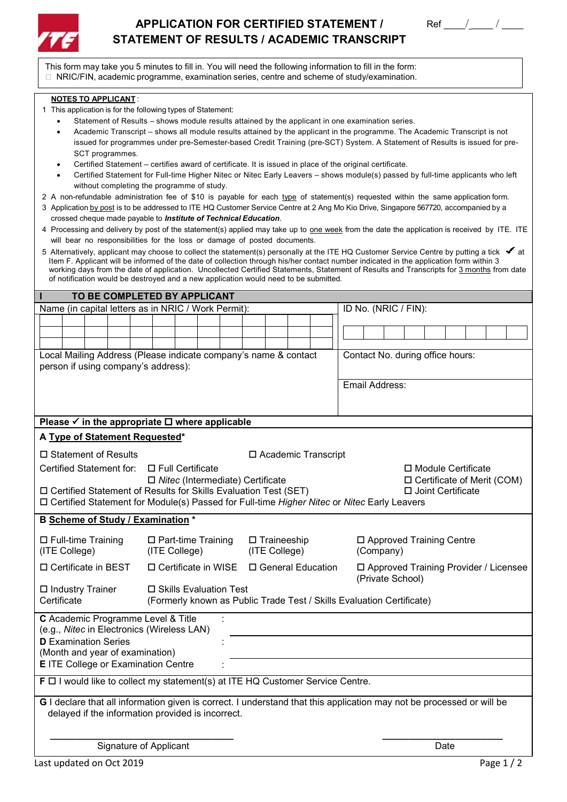

## APPLICATION FOR CERTIFIED STATEMENT / Ref \_\_\_\_/ \_\_\_\_ / **STATEMENT OF RESULTS / ACADEMIC TRANSCRIPT**



This form may take you 5 minutes to fill in. You will need the following information to fill in the form: NRIC/FIN, academic programme, examination series, centre and scheme of study/examination.

## **NOTES TO APPLICANT** :

- 1 This application is for the following types of Statement:
	- Statement of Results shows module results attained by the applicant in one examination series.
	- Academic Transcript shows all module results attained by the applicant in the programme. The Academic Transcript is not issued for programmes under pre-Semester-based Credit Training (pre-SCT) System. A Statement of Results is issued for pre-SCT programmes.
	- Certified Statement certifies award of certificate. It is issued in place of the original certificate.
	- Certified Statement for Full-time Higher Nitec or Nitec Early Leavers shows module(s) passed by full-time applicants who left without completing the programme of study.
- 2 A non-refundable administration fee of \$10 is payable for each type of statement(s) requested within the same application form.
- 3 Application by post is to be addressed to ITE HQ Customer Service Centre at 2 Ang Mo Kio Drive, Singapore 567720, accompanied by a crossed cheque made payable to *Institute of Technical Education*.
- 4 Processing and delivery by post of the statement(s) applied may take up to one week from the date the application is received by ITE. ITE will bear no responsibilities for the loss or damage of posted documents.
- 5 Alternatively, applicant may choose to collect the statement(s) personally at the ITE HQ Customer Service Centre by putting a tick  $\bullet$  at Item F. Applicant will be informed of the date of collection through his/her contact number indicated in the application form within 3 working days from the date of application. Uncollected Certified Statements, Statement of Results and Transcripts for 3 months from date of notification would be destroyed and a new application would need to be submitted.

| TO BE COMPLETED BY APPLICANT                                                                                          |                                        |                                                                       |  |  |                                                      |               |                    |                       |                |           |  |                                  |                     |      |  |                                         |
|-----------------------------------------------------------------------------------------------------------------------|----------------------------------------|-----------------------------------------------------------------------|--|--|------------------------------------------------------|---------------|--------------------|-----------------------|----------------|-----------|--|----------------------------------|---------------------|------|--|-----------------------------------------|
| Name (in capital letters as in NRIC / Work Permit):                                                                   |                                        |                                                                       |  |  |                                                      |               |                    |                       |                |           |  | ID No. (NRIC / FIN):             |                     |      |  |                                         |
|                                                                                                                       |                                        |                                                                       |  |  |                                                      |               |                    |                       |                |           |  |                                  |                     |      |  |                                         |
|                                                                                                                       |                                        |                                                                       |  |  |                                                      |               |                    |                       |                |           |  |                                  |                     |      |  |                                         |
| Local Mailing Address (Please indicate company's name & contact                                                       |                                        |                                                                       |  |  |                                                      |               |                    |                       |                |           |  | Contact No. during office hours: |                     |      |  |                                         |
| person if using company's address):                                                                                   |                                        |                                                                       |  |  |                                                      |               |                    |                       |                |           |  |                                  |                     |      |  |                                         |
|                                                                                                                       |                                        |                                                                       |  |  |                                                      |               |                    |                       |                |           |  |                                  |                     |      |  |                                         |
|                                                                                                                       |                                        |                                                                       |  |  |                                                      |               |                    |                       | Email Address: |           |  |                                  |                     |      |  |                                         |
|                                                                                                                       |                                        |                                                                       |  |  |                                                      |               |                    |                       |                |           |  |                                  |                     |      |  |                                         |
| Please $\checkmark$ in the appropriate $\Box$ where applicable                                                        |                                        |                                                                       |  |  |                                                      |               |                    |                       |                |           |  |                                  |                     |      |  |                                         |
| A Type of Statement Requested*                                                                                        |                                        |                                                                       |  |  |                                                      |               |                    |                       |                |           |  |                                  |                     |      |  |                                         |
| □ Statement of Results                                                                                                |                                        |                                                                       |  |  |                                                      |               |                    | □ Academic Transcript |                |           |  |                                  |                     |      |  |                                         |
|                                                                                                                       |                                        |                                                                       |  |  |                                                      |               |                    |                       |                |           |  |                                  |                     |      |  |                                         |
| Certified Statement for:<br>□ Full Certificate<br>□ Nitec (Intermediate) Certificate                                  |                                        |                                                                       |  |  | □ Module Certificate<br>□ Certificate of Merit (COM) |               |                    |                       |                |           |  |                                  |                     |      |  |                                         |
| □ Certified Statement of Results for Skills Evaluation Test (SET)                                                     |                                        |                                                                       |  |  |                                                      |               |                    |                       |                |           |  |                                  | □ Joint Certificate |      |  |                                         |
| □ Certified Statement for Module(s) Passed for Full-time Higher Nitec or Nitec Early Leavers                          |                                        |                                                                       |  |  |                                                      |               |                    |                       |                |           |  |                                  |                     |      |  |                                         |
| B Scheme of Study / Examination *                                                                                     |                                        |                                                                       |  |  |                                                      |               |                    |                       |                |           |  |                                  |                     |      |  |                                         |
| □ Full-time Training                                                                                                  |                                        | $\Box$ Part-time Training                                             |  |  |                                                      |               | $\Box$ Traineeship |                       |                |           |  | □ Approved Training Centre       |                     |      |  |                                         |
| (ITE College)                                                                                                         |                                        | (ITE College)                                                         |  |  |                                                      | (ITE College) |                    |                       |                | (Company) |  |                                  |                     |      |  |                                         |
| □ Certificate in BEST                                                                                                 |                                        | □ Certificate in WISE □ General Education                             |  |  |                                                      |               |                    |                       |                |           |  |                                  |                     |      |  | □ Approved Training Provider / Licensee |
|                                                                                                                       |                                        |                                                                       |  |  |                                                      |               |                    |                       |                |           |  | (Private School)                 |                     |      |  |                                         |
| $\Box$ Industry Trainer                                                                                               |                                        | □ Skills Evaluation Test                                              |  |  |                                                      |               |                    |                       |                |           |  |                                  |                     |      |  |                                         |
| Certificate                                                                                                           |                                        | (Formerly known as Public Trade Test / Skills Evaluation Certificate) |  |  |                                                      |               |                    |                       |                |           |  |                                  |                     |      |  |                                         |
| C Academic Programme Level & Title                                                                                    |                                        |                                                                       |  |  |                                                      |               |                    |                       |                |           |  |                                  |                     |      |  |                                         |
| (e.g., Nitec in Electronics (Wireless LAN)                                                                            |                                        |                                                                       |  |  |                                                      |               |                    |                       |                |           |  |                                  |                     |      |  |                                         |
| <b>D</b> Examination Series<br>(Month and year of examination)                                                        |                                        |                                                                       |  |  |                                                      |               |                    |                       |                |           |  |                                  |                     |      |  |                                         |
| <b>E</b> ITE College or Examination Centre                                                                            |                                        |                                                                       |  |  |                                                      |               |                    |                       |                |           |  |                                  |                     |      |  |                                         |
| F $\Box$ I would like to collect my statement(s) at ITE HQ Customer Service Centre.                                   |                                        |                                                                       |  |  |                                                      |               |                    |                       |                |           |  |                                  |                     |      |  |                                         |
|                                                                                                                       |                                        |                                                                       |  |  |                                                      |               |                    |                       |                |           |  |                                  |                     |      |  |                                         |
| G I declare that all information given is correct. I understand that this application may not be processed or will be |                                        |                                                                       |  |  |                                                      |               |                    |                       |                |           |  |                                  |                     |      |  |                                         |
| delayed if the information provided is incorrect.                                                                     |                                        |                                                                       |  |  |                                                      |               |                    |                       |                |           |  |                                  |                     |      |  |                                         |
|                                                                                                                       |                                        |                                                                       |  |  |                                                      |               |                    |                       |                |           |  |                                  |                     |      |  |                                         |
|                                                                                                                       | Signature of Applicant                 |                                                                       |  |  |                                                      |               |                    |                       |                |           |  |                                  |                     | Date |  |                                         |
|                                                                                                                       | Last updated on Oct 2019<br>Page $1/2$ |                                                                       |  |  |                                                      |               |                    |                       |                |           |  |                                  |                     |      |  |                                         |